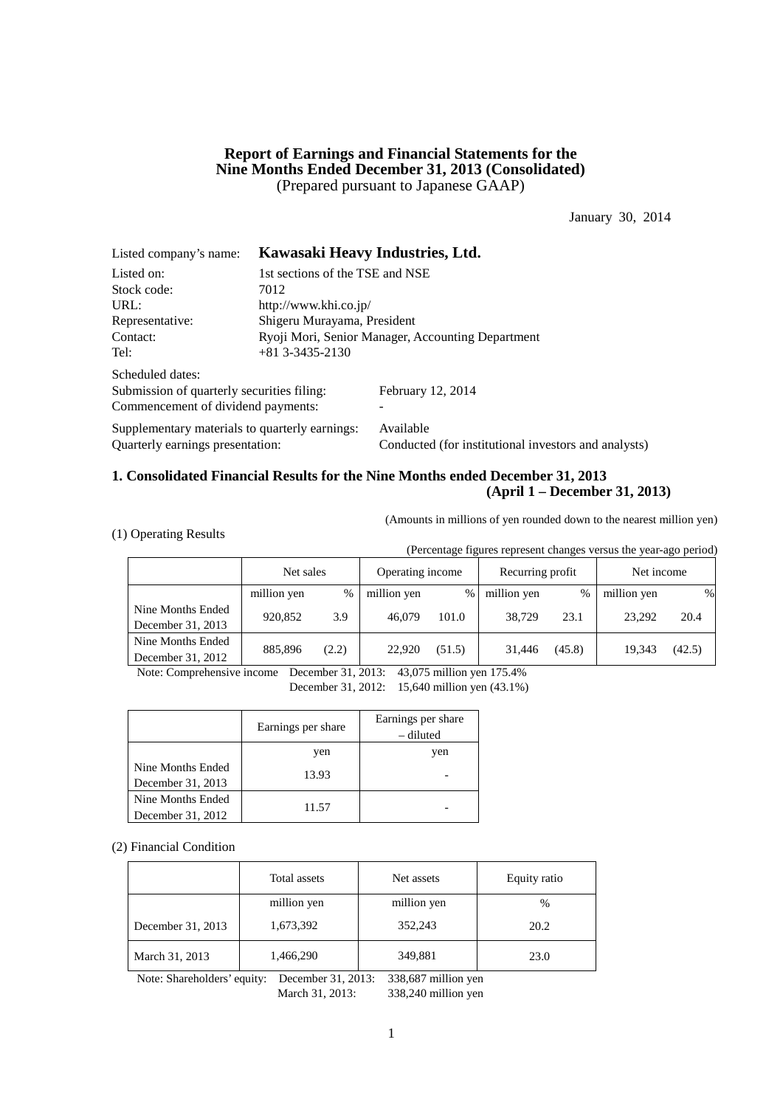## **Report of Earnings and Financial Statements for the Nine Months Ended December 31, 2013 (Consolidated)** (Prepared pursuant to Japanese GAAP)

January 30, 2014

| Listed company's name:                         |                                                   | Kawasaki Heavy Industries, Ltd.                      |  |  |
|------------------------------------------------|---------------------------------------------------|------------------------------------------------------|--|--|
| Listed on:                                     | 1st sections of the TSE and NSE                   |                                                      |  |  |
| Stock code:                                    | 7012                                              |                                                      |  |  |
| URL:                                           | http://www.khi.co.jp/                             |                                                      |  |  |
| Representative:                                | Shigeru Murayama, President                       |                                                      |  |  |
| Contact:                                       | Ryoji Mori, Senior Manager, Accounting Department |                                                      |  |  |
| Tel:                                           | $+81$ 3-3435-2130                                 |                                                      |  |  |
| Scheduled dates:                               |                                                   |                                                      |  |  |
| Submission of quarterly securities filing:     |                                                   | February 12, 2014                                    |  |  |
| Commencement of dividend payments:             |                                                   |                                                      |  |  |
| Supplementary materials to quarterly earnings: |                                                   | Available                                            |  |  |
| Quarterly earnings presentation:               |                                                   | Conducted (for institutional investors and analysts) |  |  |

## **1. Consolidated Financial Results for the Nine Months ended December 31, 2013 (April 1 – December 31, 2013)**

(Amounts in millions of yen rounded down to the nearest million yen)

(1) Operating Results

(Percentage figures represent changes versus the year-ago period)

|                   | Net sales   |       | Operating income |        | Recurring profit |        | Net income  |        |
|-------------------|-------------|-------|------------------|--------|------------------|--------|-------------|--------|
|                   | million yen | $\%$  | million yen      | $\%$   | million yen      | %      | million yen | %      |
| Nine Months Ended | 920,852     | 3.9   | 46,079           | 101.0  | 38.729           | 23.1   | 23.292      | 20.4   |
| December 31, 2013 |             |       |                  |        |                  |        |             |        |
| Nine Months Ended | 885,896     | (2.2) | 22,920           | (51.5) | 31.446           | (45.8) | 19.343      | (42.5) |
| December 31, 2012 |             |       |                  |        |                  |        |             |        |

Note: Comprehensive income December 31, 2013: 43,075 million yen 175.4%

December 31, 2012: 15,640 million yen (43.1%)

|                   | Earnings per share | Earnings per share<br>– diluted |
|-------------------|--------------------|---------------------------------|
|                   | yen                | yen                             |
| Nine Months Ended | 13.93              |                                 |
| December 31, 2013 |                    |                                 |
| Nine Months Ended |                    |                                 |
| December 31, 2012 | 11.57              |                                 |

(2) Financial Condition

|                   | Total assets | Net assets  | Equity ratio |
|-------------------|--------------|-------------|--------------|
|                   | million yen  | million yen | %            |
| December 31, 2013 | 1,673,392    | 352,243     | 20.2         |
| March 31, 2013    | 1,466,290    | 349,881     | 23.0         |

Note: Shareholders' equity: December 31, 2013: 338,687 million yen March 31, 2013: 338,240 million yen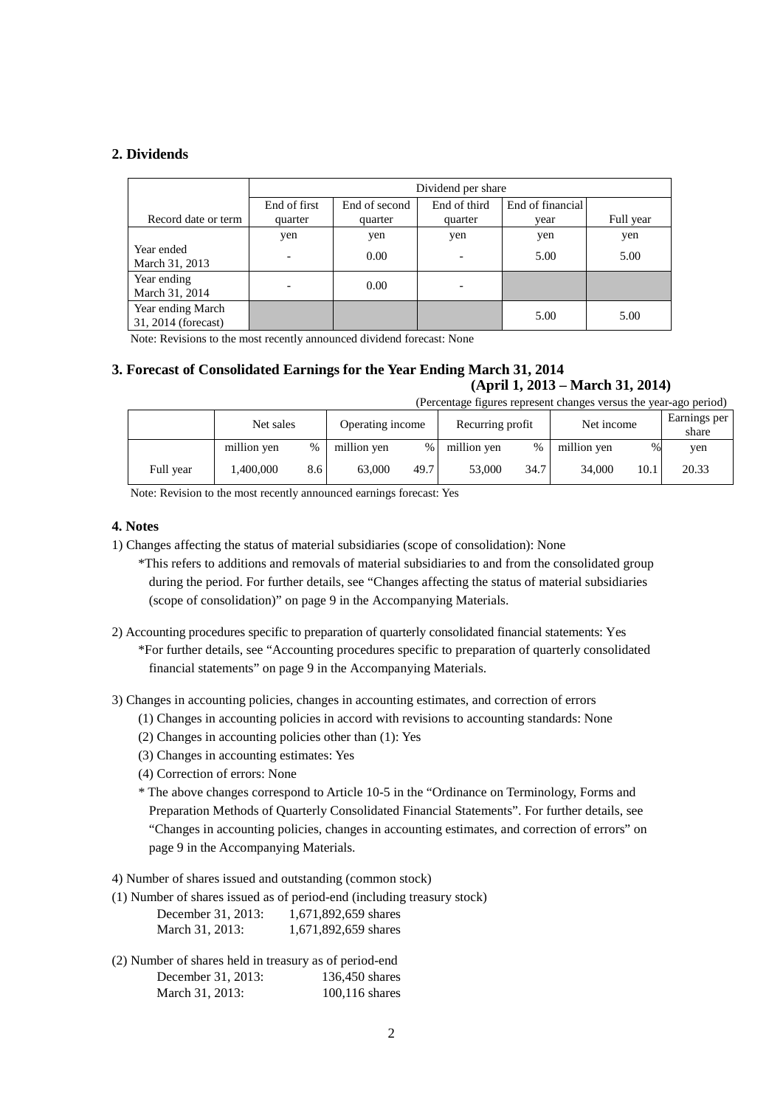## **2. Dividends**

|                                          | Dividend per share       |               |                          |                  |           |  |
|------------------------------------------|--------------------------|---------------|--------------------------|------------------|-----------|--|
|                                          | End of first             | End of second | End of third             | End of financial |           |  |
| Record date or term                      | quarter                  | quarter       | quarter                  | vear             | Full year |  |
|                                          | yen                      | yen           | yen                      | yen              | yen       |  |
| Year ended<br>March 31, 2013             | $\overline{\phantom{a}}$ | 0.00          | $\overline{\phantom{0}}$ | 5.00             | 5.00      |  |
| Year ending<br>March 31, 2014            | $\overline{\phantom{0}}$ | 0.00          |                          |                  |           |  |
| Year ending March<br>31, 2014 (forecast) |                          |               |                          | 5.00             | 5.00      |  |

Note: Revisions to the most recently announced dividend forecast: None

## **3. Forecast of Consolidated Earnings for the Year Ending March 31, 2014 (April 1, 2013 – March 31, 2014)** (Percentage figures represent changes versus the year-ago period)

|           | Net sales   |     | Recurring profit<br>Operating income |        |             | Net income |             | Earnings per<br>share |       |
|-----------|-------------|-----|--------------------------------------|--------|-------------|------------|-------------|-----------------------|-------|
|           | million yen | %   | million yen                          | $\%$ 1 | million yen | %          | million yen | $\%$                  | yen   |
| Full year | .400.000    | 8.6 | 63,000                               | 49.7   | 53,000      | 34.7       | 34.000      | 10.1                  | 20.33 |

Note: Revision to the most recently announced earnings forecast: Yes

### **4. Notes**

1) Changes affecting the status of material subsidiaries (scope of consolidation): None

\*This refers to additions and removals of material subsidiaries to and from the consolidated group during the period. For further details, see "Changes affecting the status of material subsidiaries (scope of consolidation)" on page 9 in the Accompanying Materials.

- 2) Accounting procedures specific to preparation of quarterly consolidated financial statements: Yes \*For further details, see "Accounting procedures specific to preparation of quarterly consolidated financial statements" on page 9 in the Accompanying Materials.
- 3) Changes in accounting policies, changes in accounting estimates, and correction of errors
	- (1) Changes in accounting policies in accord with revisions to accounting standards: None
	- (2) Changes in accounting policies other than (1): Yes
	- (3) Changes in accounting estimates: Yes
	- (4) Correction of errors: None
	- \* The above changes correspond to Article 10-5 in the "Ordinance on Terminology, Forms and Preparation Methods of Quarterly Consolidated Financial Statements". For further details, see "Changes in accounting policies, changes in accounting estimates, and correction of errors" on page 9 in the Accompanying Materials.

4) Number of shares issued and outstanding (common stock)

|                    | (1) Number of shares issued as of period-end (including treasury stock) |
|--------------------|-------------------------------------------------------------------------|
| December 31, 2013: | 1,671,892,659 shares                                                    |
| March 31, 2013:    | 1,671,892,659 shares                                                    |

(2) Number of shares held in treasury as of period-end December 31, 2013: 136,450 shares March 31, 2013: 100,116 shares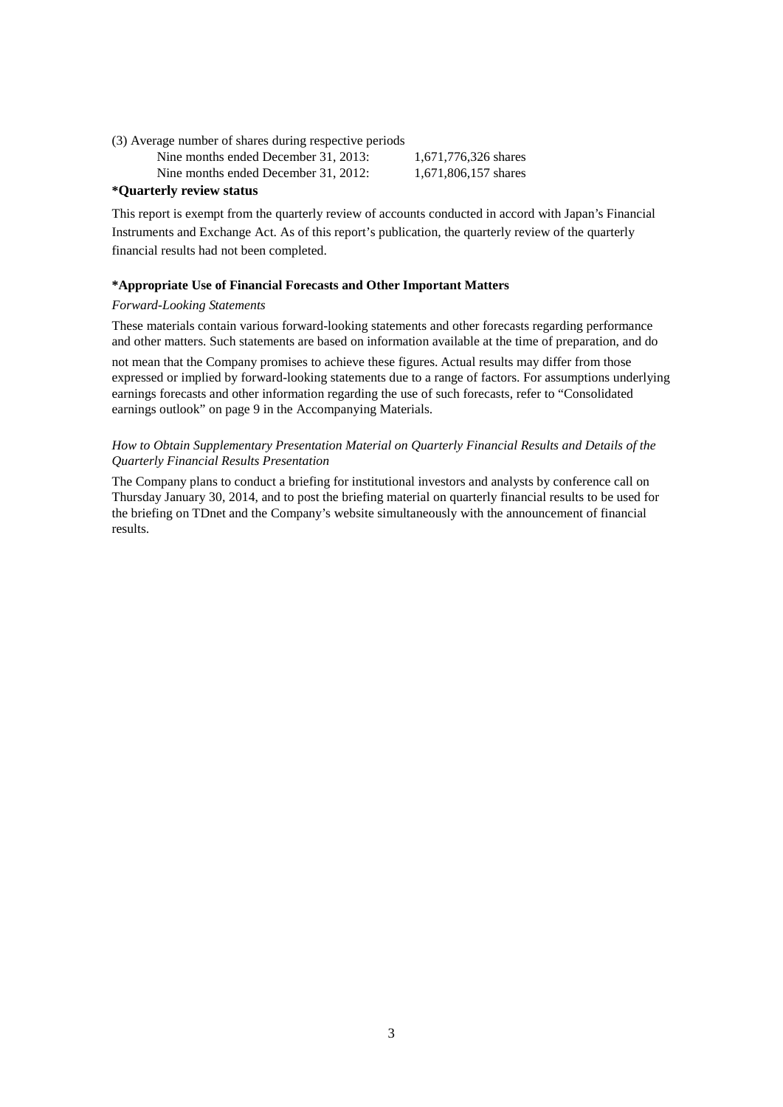(3) Average number of shares during respective periods

Nine months ended December 31, 2013: 1,671,776,326 shares

Nine months ended December 31, 2012: 1,671,806,157 shares

## **\*Quarterly review status**

This report is exempt from the quarterly review of accounts conducted in accord with Japan's Financial Instruments and Exchange Act. As of this report's publication, the quarterly review of the quarterly financial results had not been completed.

### **\*Appropriate Use of Financial Forecasts and Other Important Matters**

### *Forward-Looking Statements*

These materials contain various forward-looking statements and other forecasts regarding performance and other matters. Such statements are based on information available at the time of preparation, and do

not mean that the Company promises to achieve these figures. Actual results may differ from those expressed or implied by forward-looking statements due to a range of factors. For assumptions underlying earnings forecasts and other information regarding the use of such forecasts, refer to "Consolidated earnings outlook" on page 9 in the Accompanying Materials.

## *How to Obtain Supplementary Presentation Material on Quarterly Financial Results and Details of the Quarterly Financial Results Presentation*

The Company plans to conduct a briefing for institutional investors and analysts by conference call on Thursday January 30, 2014, and to post the briefing material on quarterly financial results to be used for the briefing on TDnet and the Company's website simultaneously with the announcement of financial results.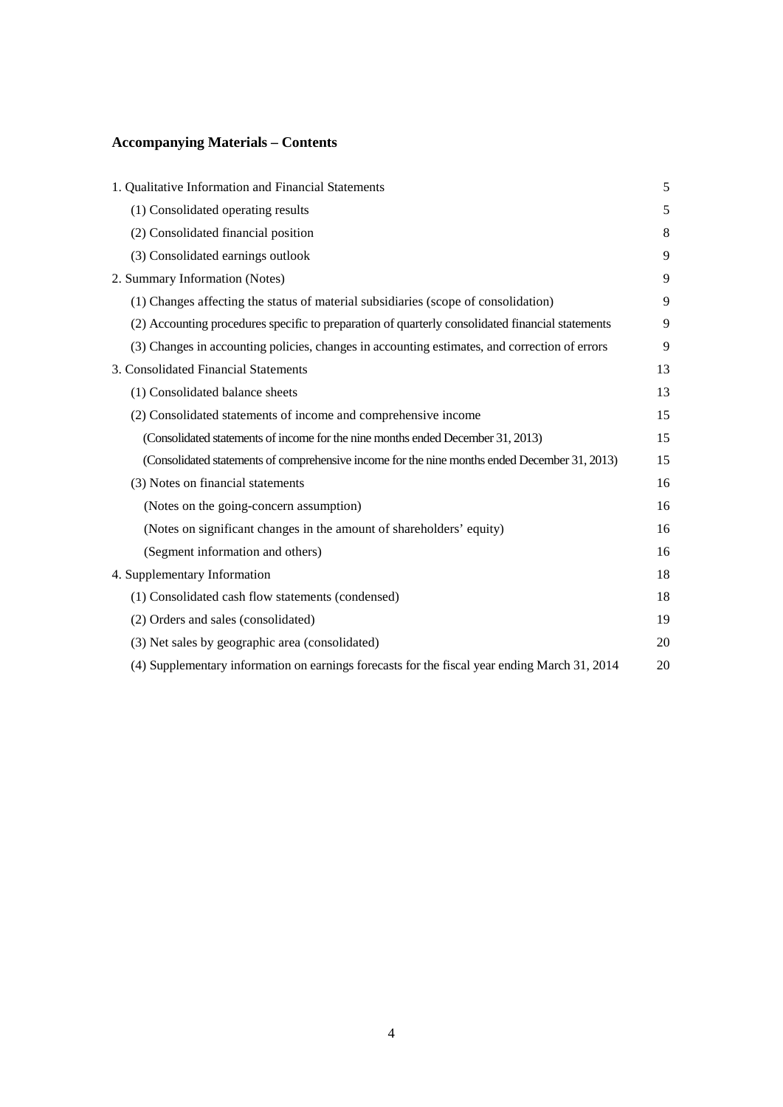# **Accompanying Materials – Contents**

| 1. Qualitative Information and Financial Statements                                              | 5  |
|--------------------------------------------------------------------------------------------------|----|
| (1) Consolidated operating results                                                               | 5  |
| (2) Consolidated financial position                                                              | 8  |
| (3) Consolidated earnings outlook                                                                | 9  |
| 2. Summary Information (Notes)                                                                   | 9  |
| (1) Changes affecting the status of material subsidiaries (scope of consolidation)               | 9  |
| (2) Accounting procedures specific to preparation of quarterly consolidated financial statements | 9  |
| (3) Changes in accounting policies, changes in accounting estimates, and correction of errors    | 9  |
| 3. Consolidated Financial Statements                                                             | 13 |
| (1) Consolidated balance sheets                                                                  | 13 |
| (2) Consolidated statements of income and comprehensive income                                   | 15 |
| (Consolidated statements of income for the nine months ended December 31, 2013)                  | 15 |
| (Consolidated statements of comprehensive income for the nine months ended December 31, 2013)    | 15 |
| (3) Notes on financial statements                                                                | 16 |
| (Notes on the going-concern assumption)                                                          | 16 |
| (Notes on significant changes in the amount of shareholders' equity)                             | 16 |
| (Segment information and others)                                                                 | 16 |
| 4. Supplementary Information                                                                     | 18 |
| (1) Consolidated cash flow statements (condensed)                                                | 18 |
| (2) Orders and sales (consolidated)                                                              | 19 |
| (3) Net sales by geographic area (consolidated)                                                  | 20 |
| (4) Supplementary information on earnings forecasts for the fiscal year ending March 31, 2014    | 20 |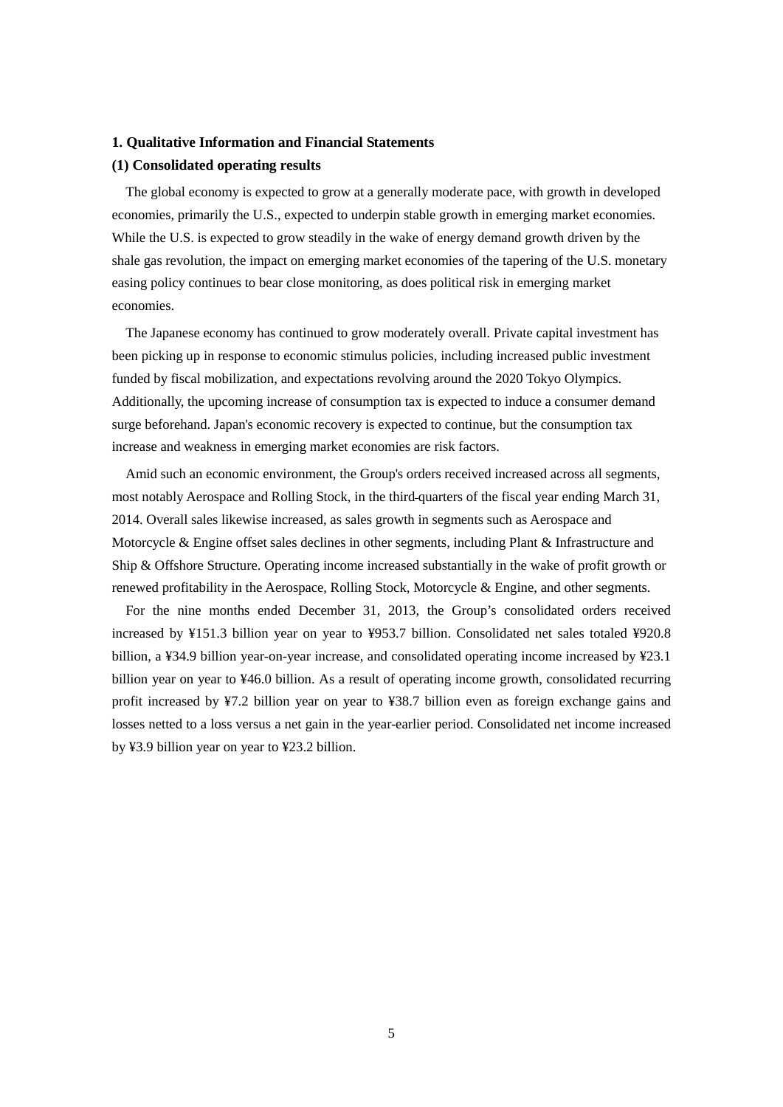### **1. Qualitative Information and Financial Statements**

## **(1) Consolidated operating results**

The global economy is expected to grow at a generally moderate pace, with growth in developed economies, primarily the U.S., expected to underpin stable growth in emerging market economies. While the U.S. is expected to grow steadily in the wake of energy demand growth driven by the shale gas revolution, the impact on emerging market economies of the tapering of the U.S. monetary easing policy continues to bear close monitoring, as does political risk in emerging market economies.

The Japanese economy has continued to grow moderately overall. Private capital investment has been picking up in response to economic stimulus policies, including increased public investment funded by fiscal mobilization, and expectations revolving around the 2020 Tokyo Olympics. Additionally, the upcoming increase of consumption tax is expected to induce a consumer demand surge beforehand. Japan's economic recovery is expected to continue, but the consumption tax increase and weakness in emerging market economies are risk factors.

Amid such an economic environment, the Group's orders received increased across all segments, most notably Aerospace and Rolling Stock, in the third quarters of the fiscal year ending March 31, 2014. Overall sales likewise increased, as sales growth in segments such as Aerospace and Motorcycle & Engine offset sales declines in other segments, including Plant & Infrastructure and Ship & Offshore Structure. Operating income increased substantially in the wake of profit growth or renewed profitability in the Aerospace, Rolling Stock, Motorcycle & Engine, and other segments.

For the nine months ended December 31, 2013, the Group's consolidated orders received increased by ¥151.3 billion year on year to ¥953.7 billion. Consolidated net sales totaled ¥920.8 billion, a ¥34.9 billion year-on-year increase, and consolidated operating income increased by ¥23.1 billion year on year to ¥46.0 billion. As a result of operating income growth, consolidated recurring profit increased by ¥7.2 billion year on year to ¥38.7 billion even as foreign exchange gains and losses netted to a loss versus a net gain in the year-earlier period. Consolidated net income increased by ¥3.9 billion year on year to ¥23.2 billion.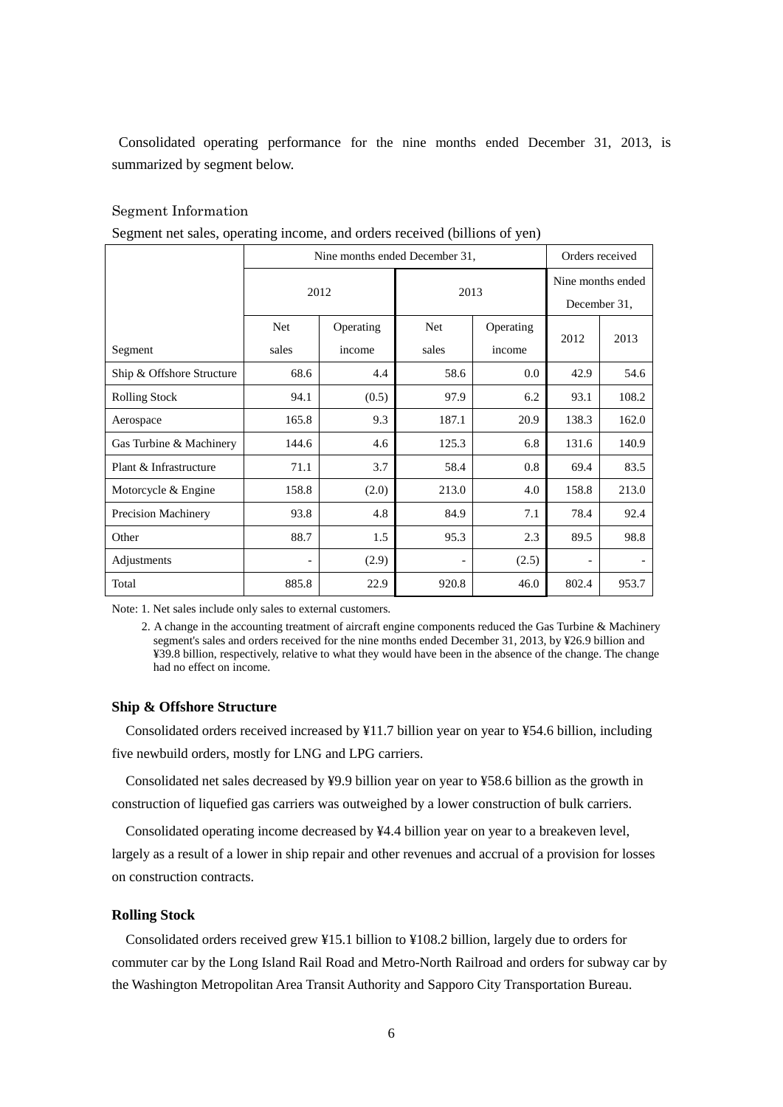Consolidated operating performance for the nine months ended December 31, 2013, is summarized by segment below.

## Segment Information

|  | Segment net sales, operating income, and orders received (billions of yen) |  |
|--|----------------------------------------------------------------------------|--|
|  |                                                                            |  |

|                           | Nine months ended December 31, |                     |              |                     |                                   | Orders received |
|---------------------------|--------------------------------|---------------------|--------------|---------------------|-----------------------------------|-----------------|
|                           | 2012                           |                     | 2013         |                     | Nine months ended<br>December 31, |                 |
| Segment                   | Net<br>sales                   | Operating<br>income | Net<br>sales | Operating<br>income | 2012                              | 2013            |
| Ship & Offshore Structure | 68.6                           | 4.4                 | 58.6         | 0.0                 | 42.9                              | 54.6            |
| <b>Rolling Stock</b>      | 94.1                           | (0.5)               | 97.9         | 6.2                 | 93.1                              | 108.2           |
| Aerospace                 | 165.8                          | 9.3                 | 187.1        | 20.9                | 138.3                             | 162.0           |
| Gas Turbine & Machinery   | 144.6                          | 4.6                 | 125.3        | 6.8                 | 131.6                             | 140.9           |
| Plant & Infrastructure    | 71.1                           | 3.7                 | 58.4         | 0.8                 | 69.4                              | 83.5            |
| Motorcycle & Engine       | 158.8                          | (2.0)               | 213.0        | 4.0                 | 158.8                             | 213.0           |
| Precision Machinery       | 93.8                           | 4.8                 | 84.9         | 7.1                 | 78.4                              | 92.4            |
| Other                     | 88.7                           | 1.5                 | 95.3         | 2.3                 | 89.5                              | 98.8            |
| Adjustments               |                                | (2.9)               |              | (2.5)               |                                   |                 |
| Total                     | 885.8                          | 22.9                | 920.8        | 46.0                | 802.4                             | 953.7           |

Note: 1. Net sales include only sales to external customers.

2. A change in the accounting treatment of aircraft engine components reduced the Gas Turbine & Machinery segment's sales and orders received for the nine months ended December 31, 2013, by ¥26.9 billion and ¥39.8 billion, respectively, relative to what they would have been in the absence of the change. The change had no effect on income.

### **Ship & Offshore Structure**

Consolidated orders received increased by ¥11.7 billion year on year to ¥54.6 billion, including five newbuild orders, mostly for LNG and LPG carriers.

Consolidated net sales decreased by ¥9.9 billion year on year to ¥58.6 billion as the growth in construction of liquefied gas carriers was outweighed by a lower construction of bulk carriers.

Consolidated operating income decreased by ¥4.4 billion year on year to a breakeven level, largely as a result of a lower in ship repair and other revenues and accrual of a provision for losses on construction contracts.

## **Rolling Stock**

Consolidated orders received grew ¥15.1 billion to ¥108.2 billion, largely due to orders for commuter car by the Long Island Rail Road and Metro-North Railroad and orders for subway car by the Washington Metropolitan Area Transit Authority and Sapporo City Transportation Bureau.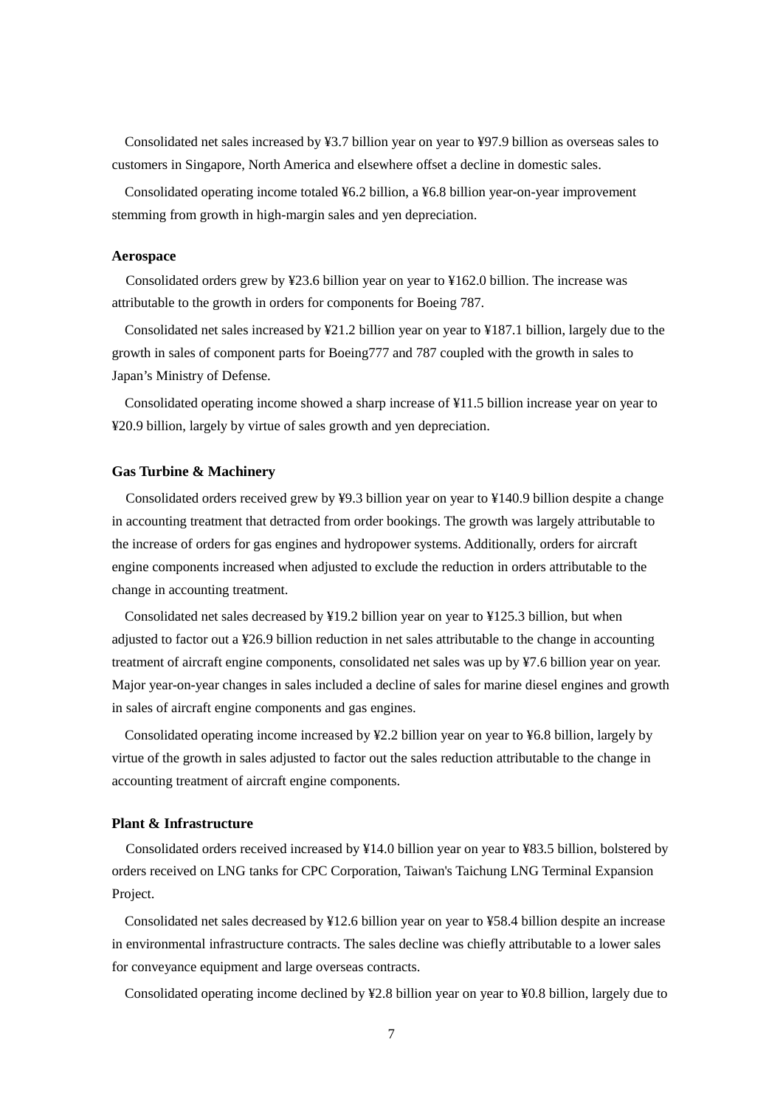Consolidated net sales increased by ¥3.7 billion year on year to ¥97.9 billion as overseas sales to customers in Singapore, North America and elsewhere offset a decline in domestic sales.

Consolidated operating income totaled ¥6.2 billion, a ¥6.8 billion year-on-year improvement stemming from growth in high-margin sales and yen depreciation.

### **Aerospace**

Consolidated orders grew by ¥23.6 billion year on year to ¥162.0 billion. The increase was attributable to the growth in orders for components for Boeing 787.

Consolidated net sales increased by ¥21.2 billion year on year to ¥187.1 billion, largely due to the growth in sales of component parts for Boeing777 and 787 coupled with the growth in sales to Japan's Ministry of Defense.

Consolidated operating income showed a sharp increase of ¥11.5 billion increase year on year to ¥20.9 billion, largely by virtue of sales growth and yen depreciation.

### **Gas Turbine & Machinery**

Consolidated orders received grew by ¥9.3 billion year on year to ¥140.9 billion despite a change in accounting treatment that detracted from order bookings. The growth was largely attributable to the increase of orders for gas engines and hydropower systems. Additionally, orders for aircraft engine components increased when adjusted to exclude the reduction in orders attributable to the change in accounting treatment.

Consolidated net sales decreased by ¥19.2 billion year on year to ¥125.3 billion, but when adjusted to factor out a ¥26.9 billion reduction in net sales attributable to the change in accounting treatment of aircraft engine components, consolidated net sales was up by ¥7.6 billion year on year. Major year-on-year changes in sales included a decline of sales for marine diesel engines and growth in sales of aircraft engine components and gas engines.

Consolidated operating income increased by ¥2.2 billion year on year to ¥6.8 billion, largely by virtue of the growth in sales adjusted to factor out the sales reduction attributable to the change in accounting treatment of aircraft engine components.

### **Plant & Infrastructure**

Consolidated orders received increased by ¥14.0 billion year on year to ¥83.5 billion, bolstered by orders received on LNG tanks for CPC Corporation, Taiwan's Taichung LNG Terminal Expansion Project.

Consolidated net sales decreased by ¥12.6 billion year on year to ¥58.4 billion despite an increase in environmental infrastructure contracts. The sales decline was chiefly attributable to a lower sales for conveyance equipment and large overseas contracts.

Consolidated operating income declined by ¥2.8 billion year on year to ¥0.8 billion, largely due to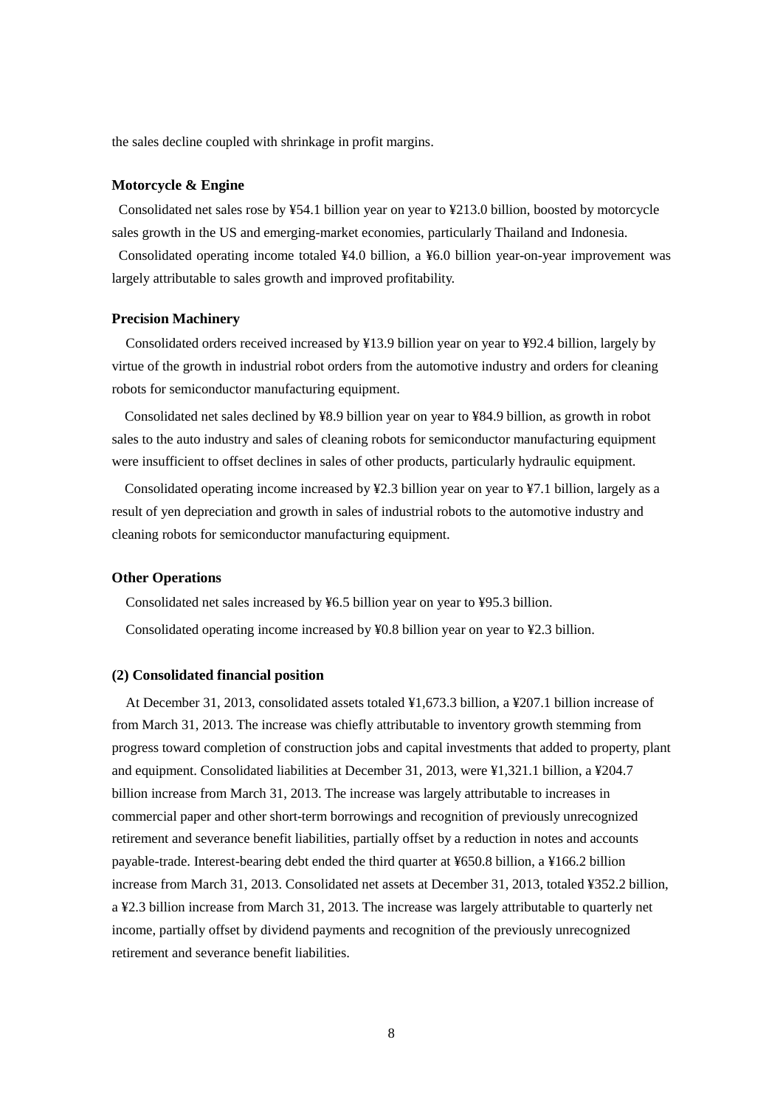the sales decline coupled with shrinkage in profit margins.

### **Motorcycle & Engine**

Consolidated net sales rose by ¥54.1 billion year on year to ¥213.0 billion, boosted by motorcycle sales growth in the US and emerging-market economies, particularly Thailand and Indonesia.

Consolidated operating income totaled ¥4.0 billion, a ¥6.0 billion year-on-year improvement was largely attributable to sales growth and improved profitability.

## **Precision Machinery**

Consolidated orders received increased by ¥13.9 billion year on year to ¥92.4 billion, largely by virtue of the growth in industrial robot orders from the automotive industry and orders for cleaning robots for semiconductor manufacturing equipment.

Consolidated net sales declined by ¥8.9 billion year on year to ¥84.9 billion, as growth in robot sales to the auto industry and sales of cleaning robots for semiconductor manufacturing equipment were insufficient to offset declines in sales of other products, particularly hydraulic equipment.

Consolidated operating income increased by ¥2.3 billion year on year to ¥7.1 billion, largely as a result of yen depreciation and growth in sales of industrial robots to the automotive industry and cleaning robots for semiconductor manufacturing equipment.

### **Other Operations**

Consolidated net sales increased by ¥6.5 billion year on year to ¥95.3 billion. Consolidated operating income increased by  $\frac{1}{2}0.8$  billion year on year to  $\frac{1}{2}2.3$  billion.

### **(2) Consolidated financial position**

At December 31, 2013, consolidated assets totaled ¥1,673.3 billion, a ¥207.1 billion increase of from March 31, 2013. The increase was chiefly attributable to inventory growth stemming from progress toward completion of construction jobs and capital investments that added to property, plant and equipment. Consolidated liabilities at December 31, 2013, were ¥1,321.1 billion, a ¥204.7 billion increase from March 31, 2013. The increase was largely attributable to increases in commercial paper and other short-term borrowings and recognition of previously unrecognized retirement and severance benefit liabilities, partially offset by a reduction in notes and accounts payable-trade. Interest-bearing debt ended the third quarter at ¥650.8 billion, a ¥166.2 billion increase from March 31, 2013. Consolidated net assets at December 31, 2013, totaled ¥352.2 billion, a ¥2.3 billion increase from March 31, 2013. The increase was largely attributable to quarterly net income, partially offset by dividend payments and recognition of the previously unrecognized retirement and severance benefit liabilities.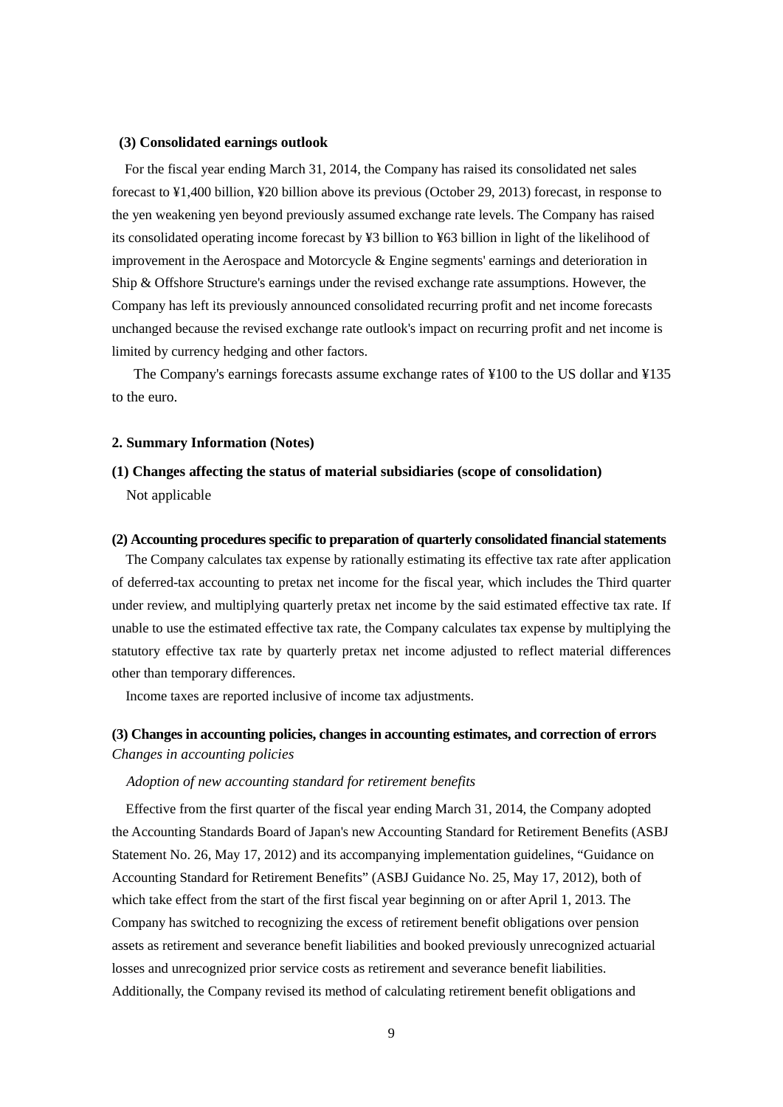### **(3) Consolidated earnings outlook**

For the fiscal year ending March 31, 2014, the Company has raised its consolidated net sales forecast to ¥1,400 billion, ¥20 billion above its previous (October 29, 2013) forecast, in response to the yen weakening yen beyond previously assumed exchange rate levels. The Company has raised its consolidated operating income forecast by ¥3 billion to ¥63 billion in light of the likelihood of improvement in the Aerospace and Motorcycle & Engine segments' earnings and deterioration in Ship & Offshore Structure's earnings under the revised exchange rate assumptions. However, the Company has left its previously announced consolidated recurring profit and net income forecasts unchanged because the revised exchange rate outlook's impact on recurring profit and net income is limited by currency hedging and other factors.

The Company's earnings forecasts assume exchange rates of ¥100 to the US dollar and ¥135 to the euro.

### **2. Summary Information (Notes)**

## **(1) Changes affecting the status of material subsidiaries (scope of consolidation)**

Not applicable

## **(2) Accounting procedures specific to preparation of quarterly consolidated financial statements**

The Company calculates tax expense by rationally estimating its effective tax rate after application of deferred-tax accounting to pretax net income for the fiscal year, which includes the Third quarter under review, and multiplying quarterly pretax net income by the said estimated effective tax rate. If unable to use the estimated effective tax rate, the Company calculates tax expense by multiplying the statutory effective tax rate by quarterly pretax net income adjusted to reflect material differences other than temporary differences.

Income taxes are reported inclusive of income tax adjustments.

## **(3) Changes in accounting policies, changes in accounting estimates, and correction of errors** *Changes in accounting policies*

## *Adoption of new accounting standard for retirement benefits*

Effective from the first quarter of the fiscal year ending March 31, 2014, the Company adopted the Accounting Standards Board of Japan's new Accounting Standard for Retirement Benefits (ASBJ Statement No. 26, May 17, 2012) and its accompanying implementation guidelines, "Guidance on Accounting Standard for Retirement Benefits" (ASBJ Guidance No. 25, May 17, 2012), both of which take effect from the start of the first fiscal year beginning on or after April 1, 2013. The Company has switched to recognizing the excess of retirement benefit obligations over pension assets as retirement and severance benefit liabilities and booked previously unrecognized actuarial losses and unrecognized prior service costs as retirement and severance benefit liabilities. Additionally, the Company revised its method of calculating retirement benefit obligations and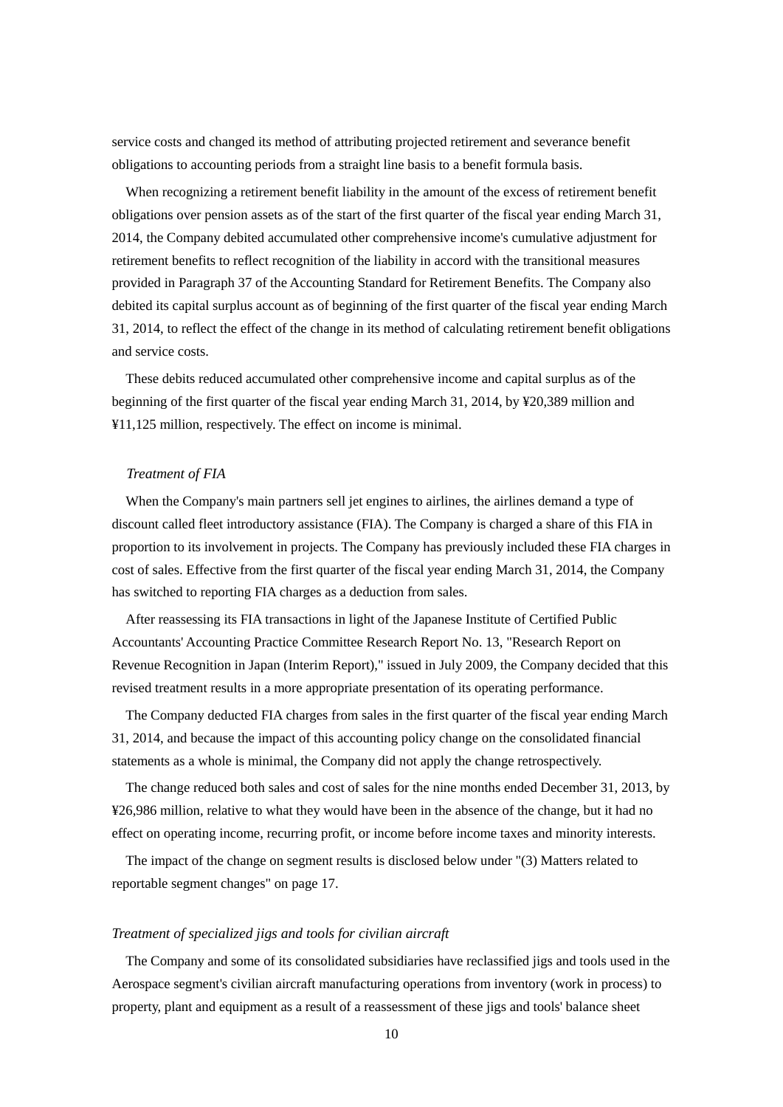service costs and changed its method of attributing projected retirement and severance benefit obligations to accounting periods from a straight line basis to a benefit formula basis.

When recognizing a retirement benefit liability in the amount of the excess of retirement benefit obligations over pension assets as of the start of the first quarter of the fiscal year ending March 31, 2014, the Company debited accumulated other comprehensive income's cumulative adjustment for retirement benefits to reflect recognition of the liability in accord with the transitional measures provided in Paragraph 37 of the Accounting Standard for Retirement Benefits. The Company also debited its capital surplus account as of beginning of the first quarter of the fiscal year ending March 31, 2014, to reflect the effect of the change in its method of calculating retirement benefit obligations and service costs.

These debits reduced accumulated other comprehensive income and capital surplus as of the beginning of the first quarter of the fiscal year ending March 31, 2014, by ¥20,389 million and ¥11,125 million, respectively. The effect on income is minimal.

### *Treatment of FIA*

When the Company's main partners sell jet engines to airlines, the airlines demand a type of discount called fleet introductory assistance (FIA). The Company is charged a share of this FIA in proportion to its involvement in projects. The Company has previously included these FIA charges in cost of sales. Effective from the first quarter of the fiscal year ending March 31, 2014, the Company has switched to reporting FIA charges as a deduction from sales.

After reassessing its FIA transactions in light of the Japanese Institute of Certified Public Accountants' Accounting Practice Committee Research Report No. 13, "Research Report on Revenue Recognition in Japan (Interim Report)," issued in July 2009, the Company decided that this revised treatment results in a more appropriate presentation of its operating performance.

The Company deducted FIA charges from sales in the first quarter of the fiscal year ending March 31, 2014, and because the impact of this accounting policy change on the consolidated financial statements as a whole is minimal, the Company did not apply the change retrospectively.

The change reduced both sales and cost of sales for the nine months ended December 31, 2013, by ¥26,986 million, relative to what they would have been in the absence of the change, but it had no effect on operating income, recurring profit, or income before income taxes and minority interests.

The impact of the change on segment results is disclosed below under "(3) Matters related to reportable segment changes" on page 17.

#### *Treatment of specialized jigs and tools for civilian aircraft*

The Company and some of its consolidated subsidiaries have reclassified jigs and tools used in the Aerospace segment's civilian aircraft manufacturing operations from inventory (work in process) to property, plant and equipment as a result of a reassessment of these jigs and tools' balance sheet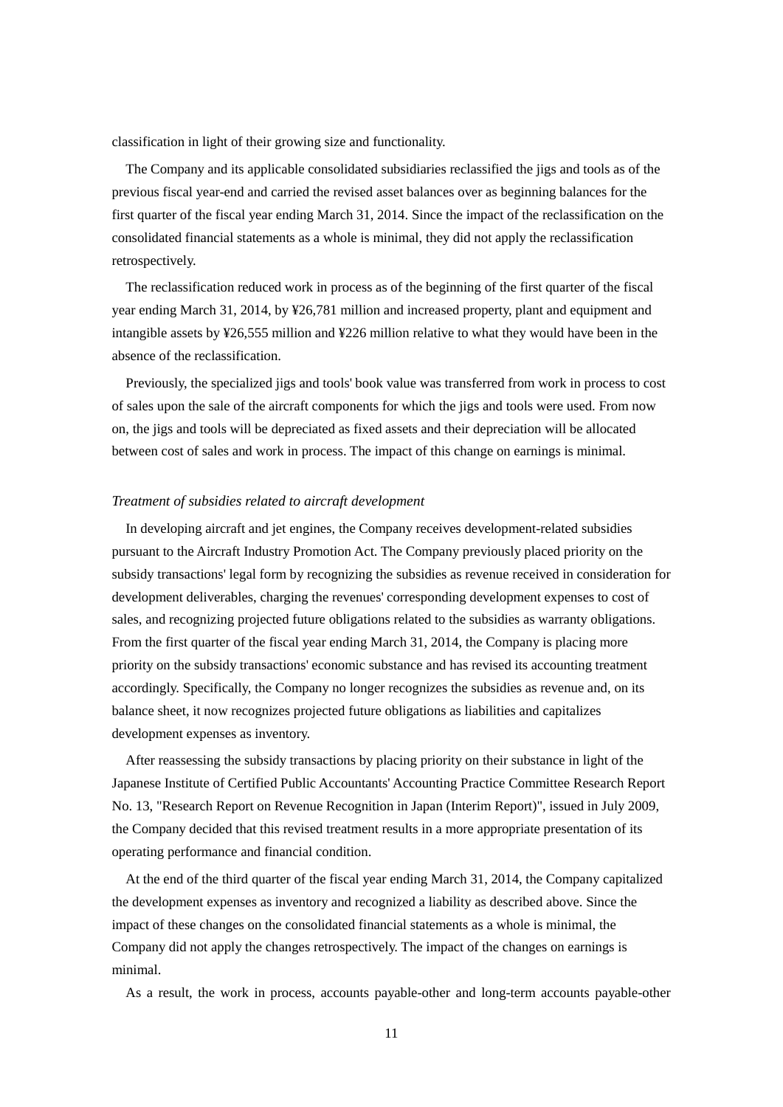classification in light of their growing size and functionality.

The Company and its applicable consolidated subsidiaries reclassified the jigs and tools as of the previous fiscal year-end and carried the revised asset balances over as beginning balances for the first quarter of the fiscal year ending March 31, 2014. Since the impact of the reclassification on the consolidated financial statements as a whole is minimal, they did not apply the reclassification retrospectively.

The reclassification reduced work in process as of the beginning of the first quarter of the fiscal year ending March 31, 2014, by ¥26,781 million and increased property, plant and equipment and intangible assets by ¥26,555 million and ¥226 million relative to what they would have been in the absence of the reclassification.

Previously, the specialized jigs and tools' book value was transferred from work in process to cost of sales upon the sale of the aircraft components for which the jigs and tools were used. From now on, the jigs and tools will be depreciated as fixed assets and their depreciation will be allocated between cost of sales and work in process. The impact of this change on earnings is minimal.

## *Treatment of subsidies related to aircraft development*

In developing aircraft and jet engines, the Company receives development-related subsidies pursuant to the Aircraft Industry Promotion Act. The Company previously placed priority on the subsidy transactions' legal form by recognizing the subsidies as revenue received in consideration for development deliverables, charging the revenues' corresponding development expenses to cost of sales, and recognizing projected future obligations related to the subsidies as warranty obligations. From the first quarter of the fiscal year ending March 31, 2014, the Company is placing more priority on the subsidy transactions' economic substance and has revised its accounting treatment accordingly. Specifically, the Company no longer recognizes the subsidies as revenue and, on its balance sheet, it now recognizes projected future obligations as liabilities and capitalizes development expenses as inventory.

After reassessing the subsidy transactions by placing priority on their substance in light of the Japanese Institute of Certified Public Accountants' Accounting Practice Committee Research Report No. 13, "Research Report on Revenue Recognition in Japan (Interim Report)", issued in July 2009, the Company decided that this revised treatment results in a more appropriate presentation of its operating performance and financial condition.

At the end of the third quarter of the fiscal year ending March 31, 2014, the Company capitalized the development expenses as inventory and recognized a liability as described above. Since the impact of these changes on the consolidated financial statements as a whole is minimal, the Company did not apply the changes retrospectively. The impact of the changes on earnings is minimal.

As a result, the work in process, accounts payable-other and long-term accounts payable-other

11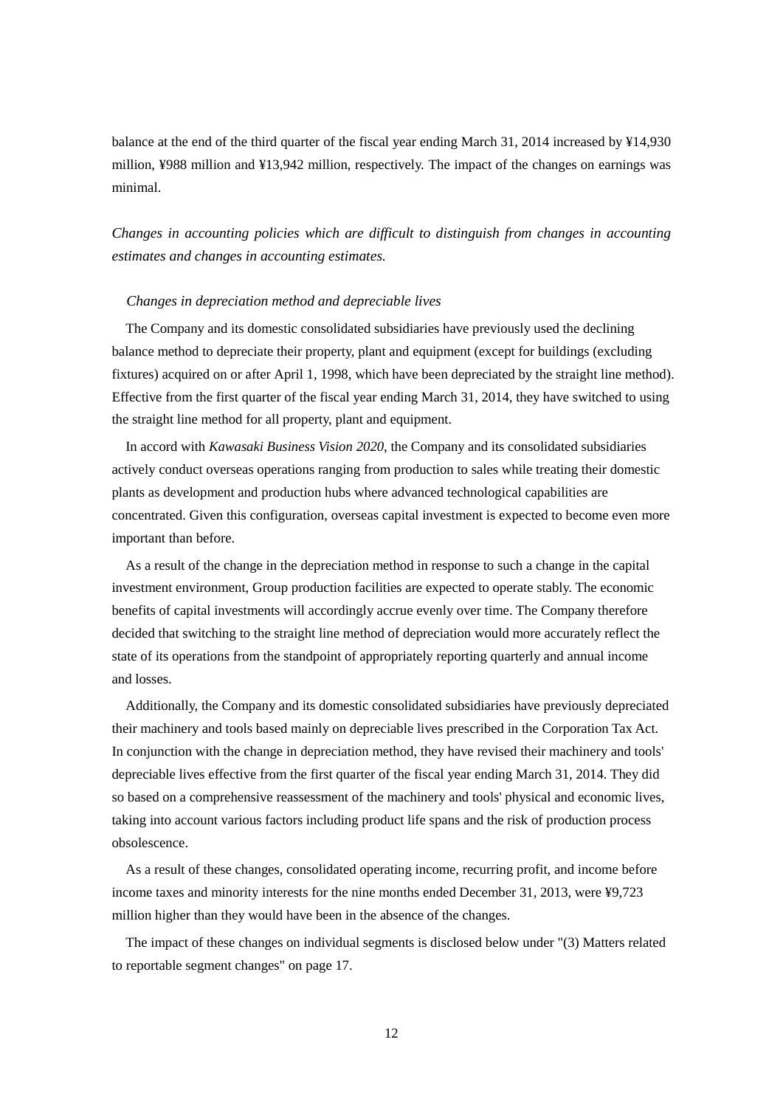balance at the end of the third quarter of the fiscal year ending March 31, 2014 increased by ¥14,930 million, ¥988 million and ¥13,942 million, respectively. The impact of the changes on earnings was minimal.

# *Changes in accounting policies which are difficult to distinguish from changes in accounting estimates and changes in accounting estimates.*

#### *Changes in depreciation method and depreciable lives*

The Company and its domestic consolidated subsidiaries have previously used the declining balance method to depreciate their property, plant and equipment (except for buildings (excluding fixtures) acquired on or after April 1, 1998, which have been depreciated by the straight line method). Effective from the first quarter of the fiscal year ending March 31, 2014, they have switched to using the straight line method for all property, plant and equipment.

In accord with *Kawasaki Business Vision 2020*, the Company and its consolidated subsidiaries actively conduct overseas operations ranging from production to sales while treating their domestic plants as development and production hubs where advanced technological capabilities are concentrated. Given this configuration, overseas capital investment is expected to become even more important than before.

As a result of the change in the depreciation method in response to such a change in the capital investment environment, Group production facilities are expected to operate stably. The economic benefits of capital investments will accordingly accrue evenly over time. The Company therefore decided that switching to the straight line method of depreciation would more accurately reflect the state of its operations from the standpoint of appropriately reporting quarterly and annual income and losses.

Additionally, the Company and its domestic consolidated subsidiaries have previously depreciated their machinery and tools based mainly on depreciable lives prescribed in the Corporation Tax Act. In conjunction with the change in depreciation method, they have revised their machinery and tools' depreciable lives effective from the first quarter of the fiscal year ending March 31, 2014. They did so based on a comprehensive reassessment of the machinery and tools' physical and economic lives, taking into account various factors including product life spans and the risk of production process obsolescence.

As a result of these changes, consolidated operating income, recurring profit, and income before income taxes and minority interests for the nine months ended December 31, 2013, were ¥9,723 million higher than they would have been in the absence of the changes.

The impact of these changes on individual segments is disclosed below under "(3) Matters related to reportable segment changes" on page 17.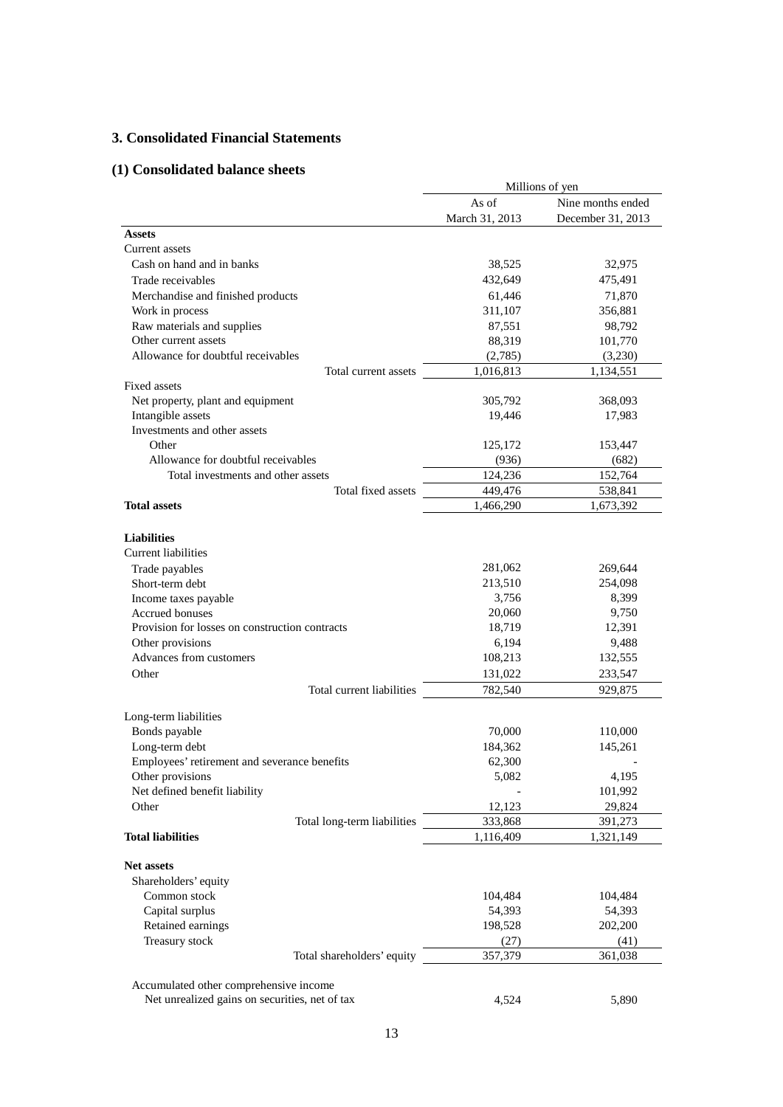## **3. Consolidated Financial Statements**

# **(1) Consolidated balance sheets**

|                                                                                                                                  |                                       | Millions of yen                      |
|----------------------------------------------------------------------------------------------------------------------------------|---------------------------------------|--------------------------------------|
|                                                                                                                                  | As of                                 | Nine months ended                    |
|                                                                                                                                  | March 31, 2013                        | December 31, 2013                    |
| <b>Assets</b>                                                                                                                    |                                       |                                      |
| Current assets                                                                                                                   |                                       |                                      |
| Cash on hand and in banks                                                                                                        | 38,525                                | 32,975                               |
| Trade receivables                                                                                                                | 432,649                               | 475,491                              |
| Merchandise and finished products                                                                                                | 61,446                                | 71,870                               |
| Work in process                                                                                                                  | 311,107                               | 356,881                              |
| Raw materials and supplies                                                                                                       | 87,551                                | 98,792                               |
| Other current assets                                                                                                             | 88,319                                | 101,770                              |
| Allowance for doubtful receivables                                                                                               | (2,785)                               | (3,230)                              |
| Total current assets                                                                                                             | 1,016,813                             | 1,134,551                            |
| Fixed assets                                                                                                                     |                                       |                                      |
| Net property, plant and equipment                                                                                                | 305,792                               | 368,093                              |
| Intangible assets                                                                                                                | 19,446                                | 17,983                               |
| Investments and other assets                                                                                                     |                                       |                                      |
| Other                                                                                                                            | 125,172                               | 153,447                              |
| Allowance for doubtful receivables                                                                                               | (936)                                 | (682)                                |
| Total investments and other assets                                                                                               | 124,236                               | 152,764                              |
| Total fixed assets                                                                                                               | 449,476                               | 538,841                              |
| <b>Total assets</b>                                                                                                              | 1,466,290                             | 1,673,392                            |
| <b>Liabilities</b><br><b>Current liabilities</b><br>Trade payables<br>Short-term debt<br>Income taxes payable<br>Accrued bonuses | 281,062<br>213,510<br>3,756<br>20,060 | 269,644<br>254,098<br>8,399<br>9,750 |
| Provision for losses on construction contracts                                                                                   | 18,719                                | 12,391                               |
| Other provisions                                                                                                                 | 6,194                                 | 9,488                                |
| Advances from customers                                                                                                          | 108,213                               | 132,555                              |
| Other                                                                                                                            | 131,022                               | 233,547                              |
| Total current liabilities                                                                                                        | 782,540                               | 929,875                              |
|                                                                                                                                  |                                       |                                      |
| Long-term liabilities                                                                                                            |                                       |                                      |
| Bonds payable                                                                                                                    | 70,000                                | 110,000                              |
| Long-term debt                                                                                                                   | 184,362                               | 145,261                              |
| Employees' retirement and severance benefits                                                                                     | 62,300                                |                                      |
| Other provisions                                                                                                                 | 5,082                                 | 4,195                                |
| Net defined benefit liability                                                                                                    |                                       | 101,992                              |
| Other                                                                                                                            | 12,123                                | 29,824                               |
| Total long-term liabilities                                                                                                      | 333,868                               | 391,273                              |
| <b>Total liabilities</b>                                                                                                         | 1,116,409                             | 1,321,149                            |
| <b>Net assets</b><br>Shareholders' equity                                                                                        |                                       |                                      |
| Common stock                                                                                                                     | 104,484                               | 104,484                              |
| Capital surplus                                                                                                                  | 54,393                                | 54,393                               |
| Retained earnings                                                                                                                | 198,528                               | 202,200                              |
| Treasury stock                                                                                                                   | (27)                                  | (41)                                 |
| Total shareholders' equity                                                                                                       | 357,379                               | 361,038                              |
|                                                                                                                                  |                                       |                                      |
| Accumulated other comprehensive income<br>Net unrealized gains on securities, net of tax                                         | 4,524                                 | 5,890                                |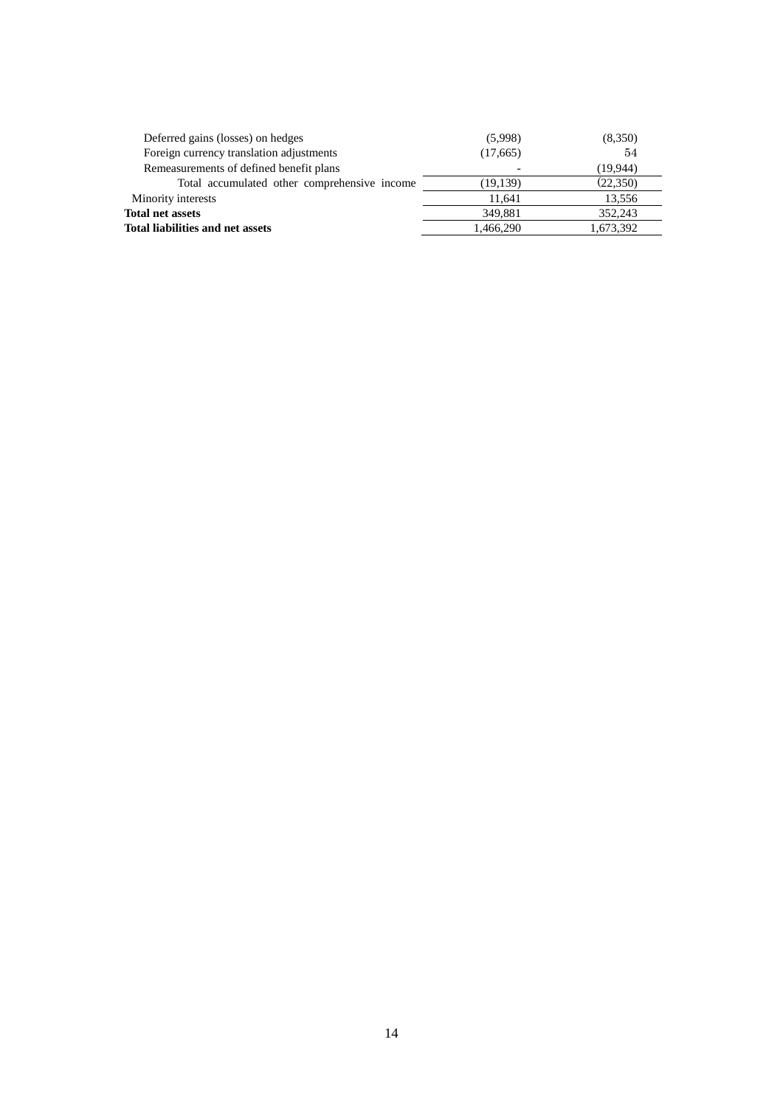| Deferred gains (losses) on hedges            | (5,998)   | (8,350)   |
|----------------------------------------------|-----------|-----------|
| Foreign currency translation adjustments     | (17,665)  | 54        |
| Remeasurements of defined benefit plans      |           | (19,944)  |
| Total accumulated other comprehensive income | (19, 139) | (22,350)  |
| Minority interests                           | 11.641    | 13,556    |
| Total net assets                             | 349,881   | 352,243   |
| Total liabilities and net assets             | 1,466,290 | 1,673,392 |
|                                              |           |           |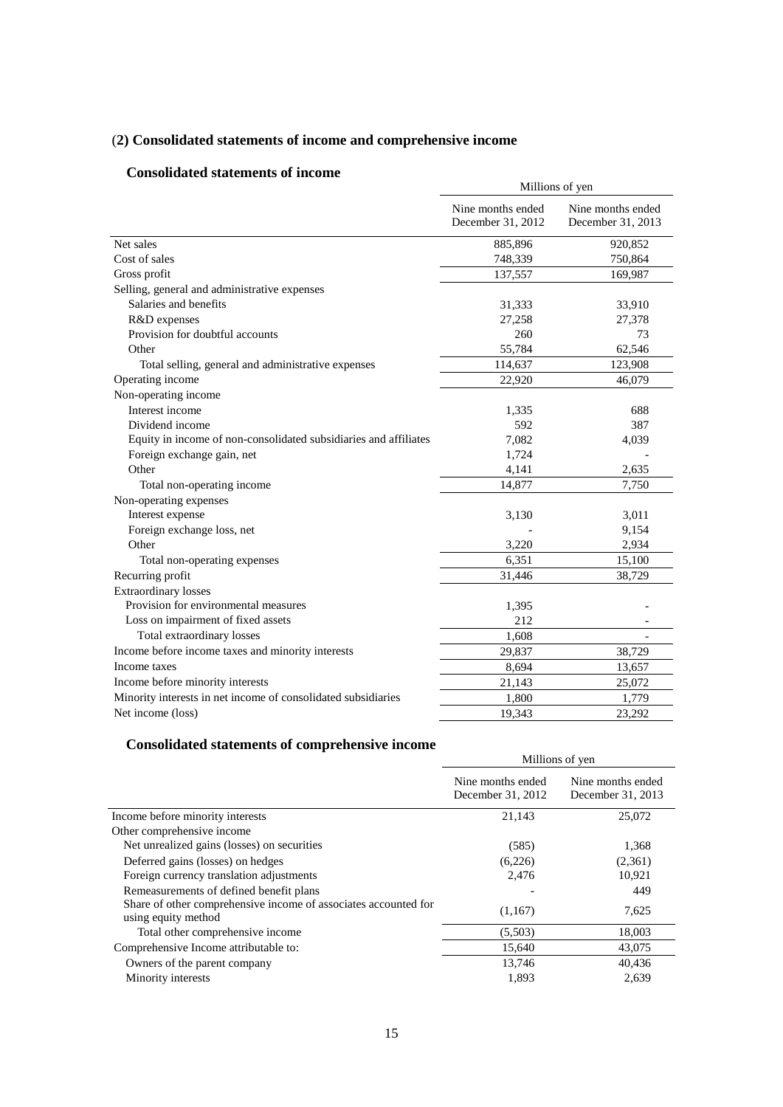# (**2) Consolidated statements of income and comprehensive income**

## **Consolidated statements of income**

|                                                                  | Millions of yen                        |                                        |  |  |
|------------------------------------------------------------------|----------------------------------------|----------------------------------------|--|--|
|                                                                  | Nine months ended<br>December 31, 2012 | Nine months ended<br>December 31, 2013 |  |  |
| Net sales                                                        | 885,896                                | 920,852                                |  |  |
| Cost of sales                                                    | 748,339                                | 750,864                                |  |  |
| Gross profit                                                     | 137,557                                | 169,987                                |  |  |
| Selling, general and administrative expenses                     |                                        |                                        |  |  |
| Salaries and benefits                                            | 31,333                                 | 33,910                                 |  |  |
| R&D expenses                                                     | 27,258                                 | 27,378                                 |  |  |
| Provision for doubtful accounts                                  | 260                                    | 73                                     |  |  |
| Other                                                            | 55,784                                 | 62,546                                 |  |  |
| Total selling, general and administrative expenses               | 114,637                                | 123,908                                |  |  |
| Operating income                                                 | 22,920                                 | 46,079                                 |  |  |
| Non-operating income                                             |                                        |                                        |  |  |
| Interest income                                                  | 1,335                                  | 688                                    |  |  |
| Dividend income                                                  | 592                                    | 387                                    |  |  |
| Equity in income of non-consolidated subsidiaries and affiliates | 7,082                                  | 4,039                                  |  |  |
| Foreign exchange gain, net                                       | 1,724                                  |                                        |  |  |
| Other                                                            | 4,141                                  | 2.635                                  |  |  |
| Total non-operating income                                       | 14,877                                 | 7,750                                  |  |  |
| Non-operating expenses                                           |                                        |                                        |  |  |
| Interest expense                                                 | 3,130                                  | 3,011                                  |  |  |
| Foreign exchange loss, net                                       |                                        | 9,154                                  |  |  |
| Other                                                            | 3,220                                  | 2,934                                  |  |  |
| Total non-operating expenses                                     | 6,351                                  | 15,100                                 |  |  |
| Recurring profit                                                 | 31,446                                 | 38,729                                 |  |  |
| <b>Extraordinary</b> losses                                      |                                        |                                        |  |  |
| Provision for environmental measures                             | 1,395                                  |                                        |  |  |
| Loss on impairment of fixed assets                               | 212                                    |                                        |  |  |
| Total extraordinary losses                                       | 1,608                                  |                                        |  |  |
| Income before income taxes and minority interests                | 29,837                                 | 38,729                                 |  |  |
| Income taxes                                                     | 8,694                                  | 13,657                                 |  |  |
| Income before minority interests                                 | 21,143                                 | 25,072                                 |  |  |
| Minority interests in net income of consolidated subsidiaries    | 1,800                                  | 1,779                                  |  |  |
| Net income (loss)                                                | 19,343                                 | 23,292                                 |  |  |

# **Consolidated statements of comprehensive income**

|                                                                                        | Millions of yen                        |                                        |  |
|----------------------------------------------------------------------------------------|----------------------------------------|----------------------------------------|--|
|                                                                                        | Nine months ended<br>December 31, 2012 | Nine months ended<br>December 31, 2013 |  |
| Income before minority interests                                                       | 21,143                                 | 25,072                                 |  |
| Other comprehensive income                                                             |                                        |                                        |  |
| Net unrealized gains (losses) on securities                                            | (585)                                  | 1,368                                  |  |
| Deferred gains (losses) on hedges                                                      | (6,226)                                | (2,361)                                |  |
| Foreign currency translation adjustments                                               | 2,476                                  | 10,921                                 |  |
| Remeasurements of defined benefit plans                                                |                                        | 449                                    |  |
| Share of other comprehensive income of associates accounted for<br>using equity method | (1,167)                                | 7,625                                  |  |
| Total other comprehensive income                                                       | (5,503)                                | 18,003                                 |  |
| Comprehensive Income attributable to:                                                  | 15,640                                 | 43,075                                 |  |
| Owners of the parent company                                                           | 13,746                                 | 40,436                                 |  |
| Minority interests                                                                     | 1,893                                  | 2,639                                  |  |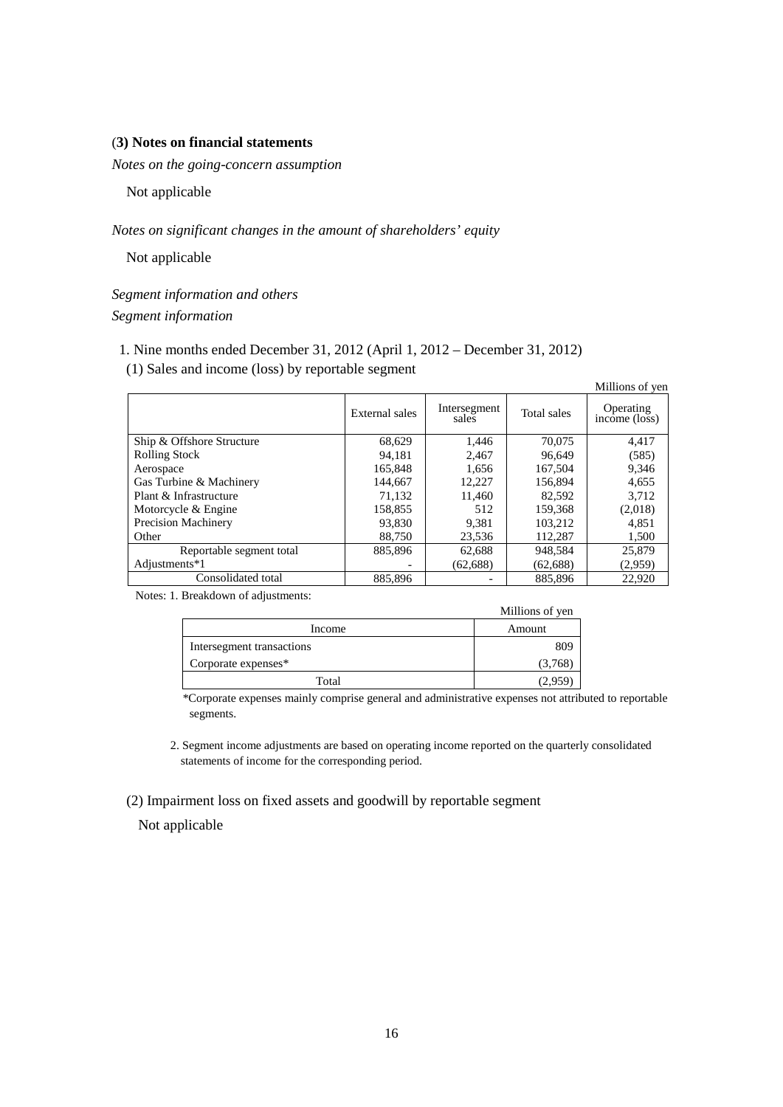## (**3) Notes on financial statements**

*Notes on the going-concern assumption* 

Not applicable

*Notes on significant changes in the amount of shareholders' equity*

Not applicable

*Segment information and others Segment information*

- 1. Nine months ended December 31, 2012 (April 1, 2012 December 31, 2012)
- (1) Sales and income (loss) by reportable segment

|                            |                |                       |             | Millions of yen                       |
|----------------------------|----------------|-----------------------|-------------|---------------------------------------|
|                            | External sales | Intersegment<br>sales | Total sales | Operating<br>$inc\overline{o}$ (loss) |
| Ship & Offshore Structure  | 68,629         | 1,446                 | 70,075      | 4,417                                 |
| <b>Rolling Stock</b>       | 94.181         | 2.467                 | 96.649      | (585)                                 |
| Aerospace                  | 165,848        | 1,656                 | 167,504     | 9,346                                 |
| Gas Turbine & Machinery    | 144,667        | 12,227                | 156,894     | 4,655                                 |
| Plant & Infrastructure     | 71,132         | 11,460                | 82,592      | 3,712                                 |
| Motorcycle & Engine        | 158,855        | 512                   | 159,368     | (2,018)                               |
| <b>Precision Machinery</b> | 93,830         | 9,381                 | 103,212     | 4,851                                 |
| Other                      | 88,750         | 23,536                | 112,287     | 1,500                                 |
| Reportable segment total   | 885,896        | 62,688                | 948.584     | 25,879                                |
| Adjustments*1              |                | (62, 688)             | (62, 688)   | (2,959)                               |
| Consolidated total         | 885.896        |                       | 885.896     | 22,920                                |

Notes: 1. Breakdown of adjustments:

|                           | Millions of yen |
|---------------------------|-----------------|
| Income                    | Amount          |
| Intersegment transactions | 809             |
| Corporate expenses*       | (3,768)         |
| Total                     | ''2.95 .        |

\*Corporate expenses mainly comprise general and administrative expenses not attributed to reportable segments.

2. Segment income adjustments are based on operating income reported on the quarterly consolidated statements of income for the corresponding period.

(2) Impairment loss on fixed assets and goodwill by reportable segment

Not applicable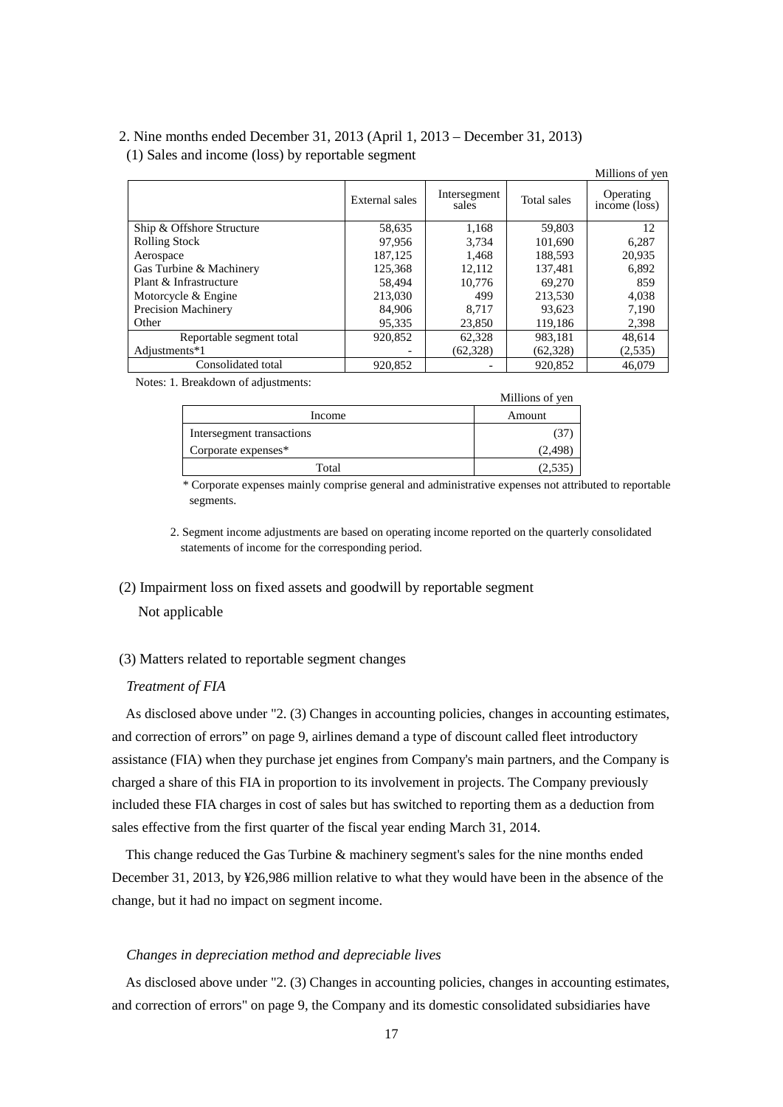## 2. Nine months ended December 31, 2013 (April 1, 2013 – December 31, 2013) (1) Sales and income (loss) by reportable segment

|                            |                |                       |             | Millions of yen                       |
|----------------------------|----------------|-----------------------|-------------|---------------------------------------|
|                            | External sales | Intersegment<br>sales | Total sales | Operating<br>$inc\overline{o}$ (loss) |
| Ship & Offshore Structure  | 58,635         | 1,168                 | 59,803      | 12                                    |
| <b>Rolling Stock</b>       | 97.956         | 3.734                 | 101.690     | 6,287                                 |
| Aerospace                  | 187.125        | 1.468                 | 188,593     | 20,935                                |
| Gas Turbine & Machinery    | 125.368        | 12.112                | 137.481     | 6.892                                 |
| Plant & Infrastructure     | 58.494         | 10,776                | 69.270      | 859                                   |
| Motorcycle & Engine        | 213,030        | 499                   | 213,530     | 4,038                                 |
| <b>Precision Machinery</b> | 84,906         | 8.717                 | 93,623      | 7,190                                 |
| Other                      | 95.335         | 23,850                | 119,186     | 2,398                                 |
| Reportable segment total   | 920,852        | 62,328                | 983.181     | 48.614                                |
| Adjustments*1              |                | (62, 328)             | (62, 328)   | (2,535)                               |
| Consolidated total         | 920.852        |                       | 920.852     | 46.079                                |

Notes: 1. Breakdown of adjustments:

|                           | Millions of yen |
|---------------------------|-----------------|
| Income                    | Amount          |
| Intersegment transactions |                 |
| Corporate expenses*       | (2,498)         |
| Total                     |                 |

\* Corporate expenses mainly comprise general and administrative expenses not attributed to reportable segments.

2. Segment income adjustments are based on operating income reported on the quarterly consolidated statements of income for the corresponding period.

## (2) Impairment loss on fixed assets and goodwill by reportable segment

Not applicable

## (3) Matters related to reportable segment changes

## *Treatment of FIA*

As disclosed above under "2. (3) Changes in accounting policies, changes in accounting estimates, and correction of errors" on page 9, airlines demand a type of discount called fleet introductory assistance (FIA) when they purchase jet engines from Company's main partners, and the Company is charged a share of this FIA in proportion to its involvement in projects. The Company previously included these FIA charges in cost of sales but has switched to reporting them as a deduction from sales effective from the first quarter of the fiscal year ending March 31, 2014.

This change reduced the Gas Turbine & machinery segment's sales for the nine months ended December 31, 2013, by ¥26,986 million relative to what they would have been in the absence of the change, but it had no impact on segment income.

## *Changes in depreciation method and depreciable lives*

As disclosed above under "2. (3) Changes in accounting policies, changes in accounting estimates, and correction of errors" on page 9, the Company and its domestic consolidated subsidiaries have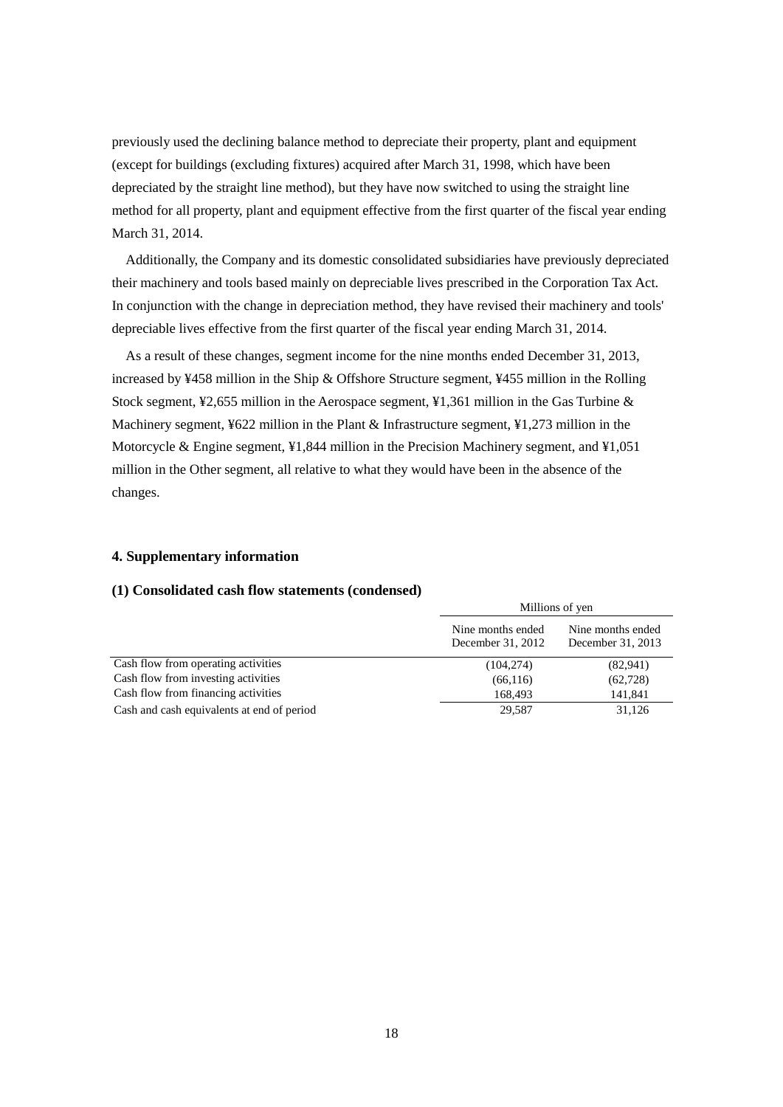previously used the declining balance method to depreciate their property, plant and equipment (except for buildings (excluding fixtures) acquired after March 31, 1998, which have been depreciated by the straight line method), but they have now switched to using the straight line method for all property, plant and equipment effective from the first quarter of the fiscal year ending March 31, 2014.

Additionally, the Company and its domestic consolidated subsidiaries have previously depreciated their machinery and tools based mainly on depreciable lives prescribed in the Corporation Tax Act. In conjunction with the change in depreciation method, they have revised their machinery and tools' depreciable lives effective from the first quarter of the fiscal year ending March 31, 2014.

As a result of these changes, segment income for the nine months ended December 31, 2013, increased by ¥458 million in the Ship & Offshore Structure segment, ¥455 million in the Rolling Stock segment,  $\frac{1}{2}$ , 655 million in the Aerospace segment,  $\frac{1}{2}$ , 361 million in the Gas Turbine & Machinery segment, ¥622 million in the Plant & Infrastructure segment, ¥1,273 million in the Motorcycle & Engine segment, ¥1,844 million in the Precision Machinery segment, and ¥1,051 million in the Other segment, all relative to what they would have been in the absence of the changes.

## **4. Supplementary information**

## **(1) Consolidated cash flow statements (condensed)**

|                                            | Millions of yen                        |                                        |
|--------------------------------------------|----------------------------------------|----------------------------------------|
|                                            | Nine months ended<br>December 31, 2012 | Nine months ended<br>December 31, 2013 |
| Cash flow from operating activities        | (104, 274)                             | (82,941)                               |
| Cash flow from investing activities        | (66, 116)                              | (62, 728)                              |
| Cash flow from financing activities        | 168,493                                | 141,841                                |
| Cash and cash equivalents at end of period | 29,587                                 | 31,126                                 |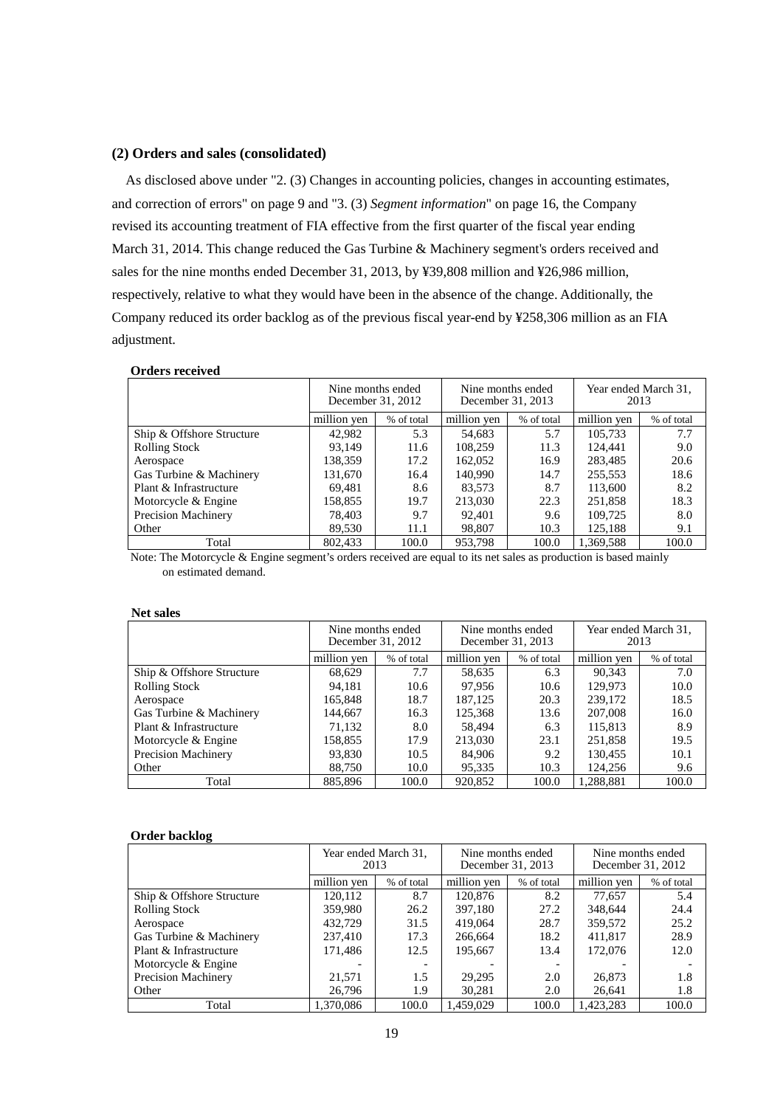## **(2) Orders and sales (consolidated)**

As disclosed above under "2. (3) Changes in accounting policies, changes in accounting estimates, and correction of errors" on page 9 and "3. (3) *Segment information*" on page 16, the Company revised its accounting treatment of FIA effective from the first quarter of the fiscal year ending March 31, 2014. This change reduced the Gas Turbine & Machinery segment's orders received and sales for the nine months ended December 31, 2013, by ¥39,808 million and ¥26,986 million, respectively, relative to what they would have been in the absence of the change. Additionally, the Company reduced its order backlog as of the previous fiscal year-end by ¥258,306 million as an FIA adjustment.

### **Orders received**

|                           | Nine months ended<br>December 31, 2012 |            | Nine months ended<br>December 31, 2013 |            | Year ended March 31,<br>2013 |            |
|---------------------------|----------------------------------------|------------|----------------------------------------|------------|------------------------------|------------|
|                           | million yen                            | % of total | million yen                            | % of total | million yen                  | % of total |
| Ship & Offshore Structure | 42,982                                 | 5.3        | 54,683                                 | 5.7        | 105.733                      | 7.7        |
| <b>Rolling Stock</b>      | 93.149                                 | 11.6       | 108,259                                | 11.3       | 124.441                      | 9.0        |
| Aerospace                 | 138.359                                | 17.2       | 162,052                                | 16.9       | 283.485                      | 20.6       |
| Gas Turbine & Machinery   | 131.670                                | 16.4       | 140,990                                | 14.7       | 255,553                      | 18.6       |
| Plant & Infrastructure    | 69.481                                 | 8.6        | 83.573                                 | 8.7        | 113,600                      | 8.2        |
| Motorcycle & Engine       | 158.855                                | 19.7       | 213,030                                | 22.3       | 251.858                      | 18.3       |
| Precision Machinery       | 78.403                                 | 9.7        | 92,401                                 | 9.6        | 109.725                      | 8.0        |
| Other                     | 89,530                                 | 11.1       | 98,807                                 | 10.3       | 125.188                      | 9.1        |
| Total                     | 802.433                                | 100.0      | 953,798                                | 100.0      | 1.369.588                    | 100.0      |

Note: The Motorcycle & Engine segment's orders received are equal to its net sales as production is based mainly on estimated demand.

#### **Net sales**

|                           | Nine months ended<br>December 31, 2012 |            | Nine months ended<br>December 31, 2013 |            | Year ended March 31,<br>2013 |            |
|---------------------------|----------------------------------------|------------|----------------------------------------|------------|------------------------------|------------|
|                           | million yen                            | % of total | million yen                            | % of total | million yen                  | % of total |
| Ship & Offshore Structure | 68,629                                 | 7.7        | 58,635                                 | 6.3        | 90.343                       | 7.0        |
| <b>Rolling Stock</b>      | 94,181                                 | 10.6       | 97,956                                 | 10.6       | 129,973                      | 10.0       |
| Aerospace                 | 165.848                                | 18.7       | 187.125                                | 20.3       | 239,172                      | 18.5       |
| Gas Turbine & Machinery   | 144,667                                | 16.3       | 125,368                                | 13.6       | 207,008                      | 16.0       |
| Plant & Infrastructure    | 71,132                                 | 8.0        | 58.494                                 | 6.3        | 115,813                      | 8.9        |
| Motorcycle & Engine       | 158,855                                | 17.9       | 213,030                                | 23.1       | 251,858                      | 19.5       |
| Precision Machinery       | 93,830                                 | 10.5       | 84,906                                 | 9.2        | 130,455                      | 10.1       |
| Other                     | 88.750                                 | 10.0       | 95,335                                 | 10.3       | 124,256                      | 9.6        |
| Total                     | 885,896                                | 100.0      | 920,852                                | 100.0      | 1.288.881                    | 100.0      |

#### **Order backlog**

|                           | 2013        | Year ended March 31, | Nine months ended<br>December 31, 2013 |            | Nine months ended<br>December 31, 2012 |            |
|---------------------------|-------------|----------------------|----------------------------------------|------------|----------------------------------------|------------|
|                           | million yen | % of total           | million yen                            | % of total | million yen                            | % of total |
| Ship & Offshore Structure | 120.112     | 8.7                  | 120,876                                | 8.2        | 77.657                                 | 5.4        |
| <b>Rolling Stock</b>      | 359,980     | 26.2                 | 397,180                                | 27.2       | 348,644                                | 24.4       |
| Aerospace                 | 432,729     | 31.5                 | 419,064                                | 28.7       | 359,572                                | 25.2       |
| Gas Turbine & Machinery   | 237,410     | 17.3                 | 266.664                                | 18.2       | 411.817                                | 28.9       |
| Plant & Infrastructure    | 171,486     | 12.5                 | 195,667                                | 13.4       | 172,076                                | 12.0       |
| Motorcycle & Engine       |             |                      |                                        |            |                                        |            |
| Precision Machinery       | 21,571      | 1.5                  | 29,295                                 | 2.0        | 26,873                                 | 1.8        |
| Other                     | 26.796      | 1.9                  | 30,281                                 | 2.0        | 26.641                                 | 1.8        |
| Total                     | 1.370.086   | 100.0                | 1.459.029                              | 100.0      | 1.423.283                              | 100.0      |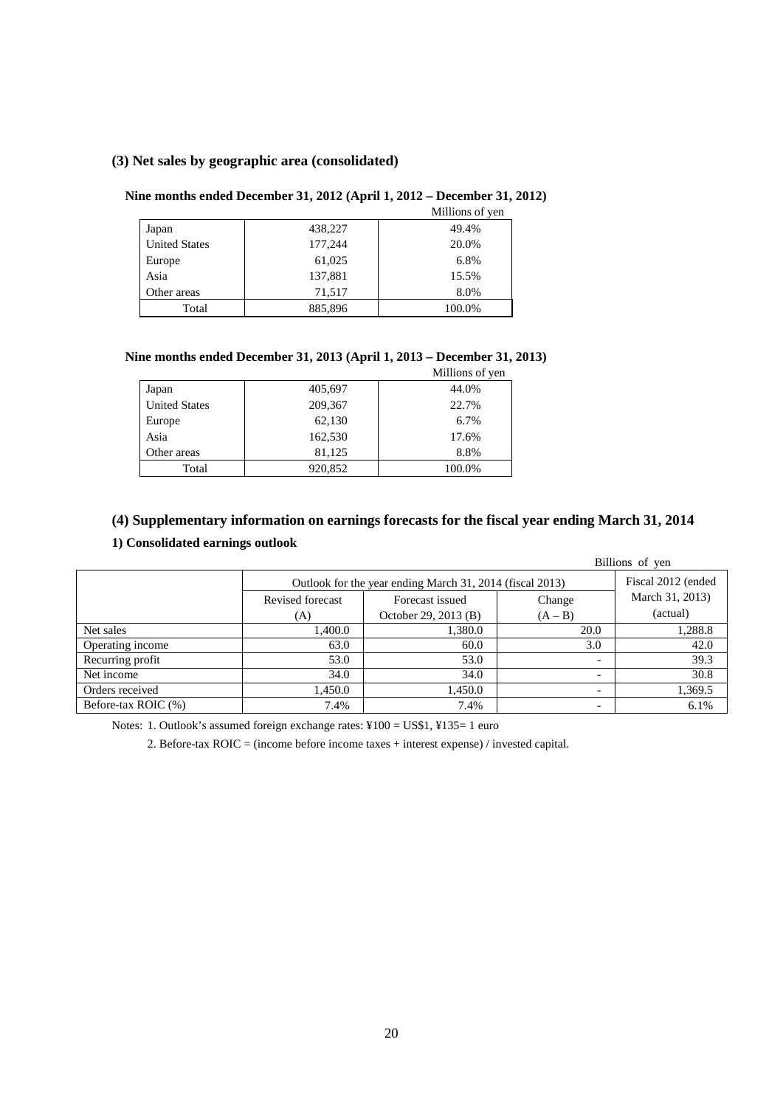## **(3) Net sales by geographic area (consolidated)**

## **Nine months ended December 31, 2012 (April 1, 2012 – December 31, 2012)**

|                      |         | Millions of yen |
|----------------------|---------|-----------------|
| Japan                | 438,227 | 49.4%           |
| <b>United States</b> | 177,244 | 20.0%           |
| Europe               | 61,025  | 6.8%            |
| Asia                 | 137,881 | 15.5%           |
| Other areas          | 71,517  | 8.0%            |
| Total                | 885,896 | 100.0%          |

## **Nine months ended December 31, 2013 (April 1, 2013 – December 31, 2013)**

|                      |         | Millions of yen |
|----------------------|---------|-----------------|
| Japan                | 405,697 | 44.0%           |
| <b>United States</b> | 209,367 | 22.7%           |
| Europe               | 62,130  | 6.7%            |
| Asia                 | 162,530 | 17.6%           |
| Other areas          | 81,125  | 8.8%            |
| Total                | 920,852 | 100.0%          |

## **(4) Supplementary information on earnings forecasts for the fiscal year ending March 31, 2014**

## **1) Consolidated earnings outlook**

|                     |                  |                                                          |                          | Billions of yen |  |  |  |
|---------------------|------------------|----------------------------------------------------------|--------------------------|-----------------|--|--|--|
|                     |                  | Outlook for the year ending March 31, 2014 (fiscal 2013) |                          |                 |  |  |  |
|                     | Revised forecast | Forecast issued                                          | Change                   | March 31, 2013) |  |  |  |
|                     | (A)              | October 29, 2013 (B)                                     | $(A - B)$                | (actual)        |  |  |  |
| Net sales           | 1.400.0          | 1,380.0                                                  | 20.0                     | 1,288.8         |  |  |  |
| Operating income    | 63.0             | 60.0                                                     | 3.0                      | 42.0            |  |  |  |
| Recurring profit    | 53.0             | 53.0                                                     | $\overline{\phantom{0}}$ | 39.3            |  |  |  |
| Net income          | 34.0             | 34.0                                                     | $\overline{\phantom{a}}$ | 30.8            |  |  |  |
| Orders received     | 1,450.0          | 1.450.0                                                  | $\overline{\phantom{0}}$ | 1,369.5         |  |  |  |
| Before-tax ROIC (%) | 7.4%             | 7.4%                                                     | -                        | 6.1%            |  |  |  |

Notes: 1. Outlook's assumed foreign exchange rates: ¥100 = US\$1, ¥135= 1 euro

2. Before-tax ROIC = (income before income taxes + interest expense) / invested capital.